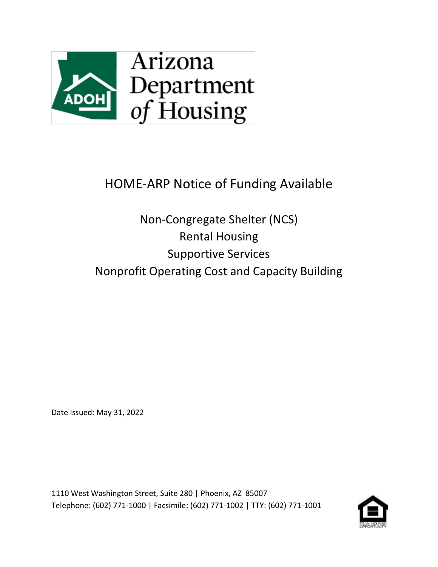

# HOME-ARP Notice of Funding Available

Non-Congregate Shelter (NCS) Rental Housing Supportive Services Nonprofit Operating Cost and Capacity Building

Date Issued: May 31, 2022

1110 West Washington Street, Suite 280 | Phoenix, AZ 85007 Telephone: (602) 771-1000 | Facsimile: (602) 771-1002 | TTY: (602) 771-1001

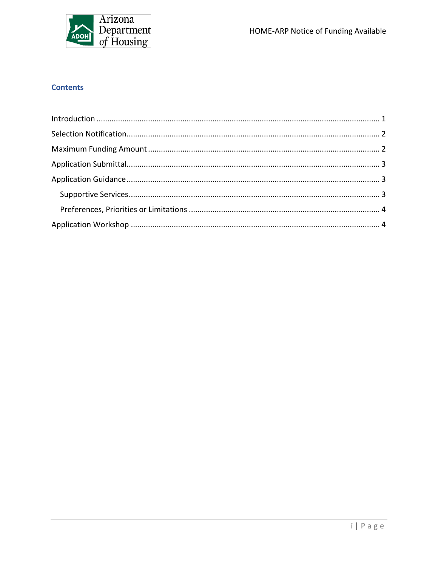

# **Contents**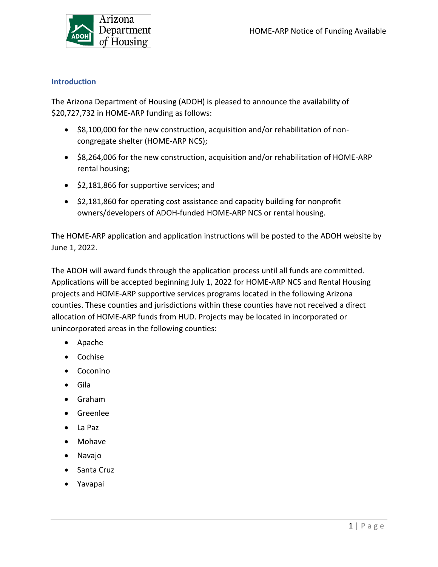

#### <span id="page-2-0"></span>**Introduction**

The Arizona Department of Housing (ADOH) is pleased to announce the availability of \$20,727,732 in HOME-ARP funding as follows:

- \$8,100,000 for the new construction, acquisition and/or rehabilitation of noncongregate shelter (HOME-ARP NCS);
- \$8,264,006 for the new construction, acquisition and/or rehabilitation of HOME-ARP rental housing;
- \$2,181,866 for supportive services; and
- \$2,181,860 for operating cost assistance and capacity building for nonprofit owners/developers of ADOH-funded HOME-ARP NCS or rental housing.

The HOME-ARP application and application instructions will be posted to the ADOH website by June 1, 2022.

The ADOH will award funds through the application process until all funds are committed. Applications will be accepted beginning July 1, 2022 for HOME-ARP NCS and Rental Housing projects and HOME-ARP supportive services programs located in the following Arizona counties. These counties and jurisdictions within these counties have not received a direct allocation of HOME-ARP funds from HUD. Projects may be located in incorporated or unincorporated areas in the following counties:

- Apache
- Cochise
- Coconino
- Gila
- Graham
- Greenlee
- La Paz
- Mohave
- Navajo
- Santa Cruz
- Yavapai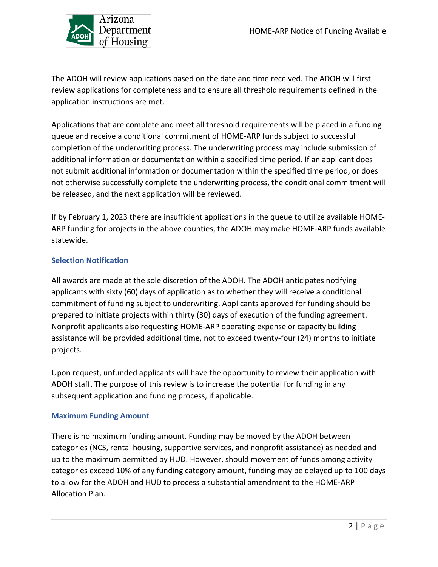

The ADOH will review applications based on the date and time received. The ADOH will first review applications for completeness and to ensure all threshold requirements defined in the application instructions are met.

Applications that are complete and meet all threshold requirements will be placed in a funding queue and receive a conditional commitment of HOME-ARP funds subject to successful completion of the underwriting process. The underwriting process may include submission of additional information or documentation within a specified time period. If an applicant does not submit additional information or documentation within the specified time period, or does not otherwise successfully complete the underwriting process, the conditional commitment will be released, and the next application will be reviewed.

If by February 1, 2023 there are insufficient applications in the queue to utilize available HOME-ARP funding for projects in the above counties, the ADOH may make HOME-ARP funds available statewide.

## <span id="page-3-0"></span>**Selection Notification**

All awards are made at the sole discretion of the ADOH. The ADOH anticipates notifying applicants with sixty (60) days of application as to whether they will receive a conditional commitment of funding subject to underwriting. Applicants approved for funding should be prepared to initiate projects within thirty (30) days of execution of the funding agreement. Nonprofit applicants also requesting HOME-ARP operating expense or capacity building assistance will be provided additional time, not to exceed twenty-four (24) months to initiate projects.

Upon request, unfunded applicants will have the opportunity to review their application with ADOH staff. The purpose of this review is to increase the potential for funding in any subsequent application and funding process, if applicable.

## <span id="page-3-1"></span>**Maximum Funding Amount**

There is no maximum funding amount. Funding may be moved by the ADOH between categories (NCS, rental housing, supportive services, and nonprofit assistance) as needed and up to the maximum permitted by HUD. However, should movement of funds among activity categories exceed 10% of any funding category amount, funding may be delayed up to 100 days to allow for the ADOH and HUD to process a substantial amendment to the HOME-ARP Allocation Plan.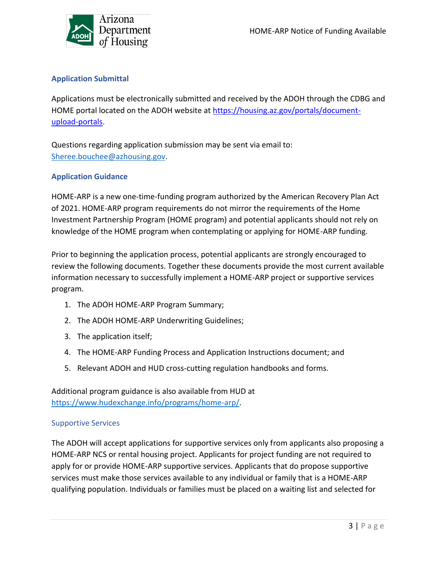

# <span id="page-4-0"></span>**Application Submittal**

Applications must be electronically submitted and received by the ADOH through the CDBG and HOME portal located on the ADOH website at [https://housing.az.gov/portals/document](https://housing.az.gov/portals/document-upload-portals)[upload-portals.](https://housing.az.gov/portals/document-upload-portals)

Questions regarding application submission may be sent via email to: [Sheree.bouchee@azhousing.gov.](mailto:Sheree.bouchee@azhousing.gov)

## <span id="page-4-1"></span>**Application Guidance**

HOME-ARP is a new one-time-funding program authorized by the American Recovery Plan Act of 2021. HOME-ARP program requirements do not mirror the requirements of the Home Investment Partnership Program (HOME program) and potential applicants should not rely on knowledge of the HOME program when contemplating or applying for HOME-ARP funding.

Prior to beginning the application process, potential applicants are strongly encouraged to review the following documents. Together these documents provide the most current available information necessary to successfully implement a HOME-ARP project or supportive services program.

- 1. The ADOH HOME-ARP Program Summary;
- 2. The ADOH HOME-ARP Underwriting Guidelines;
- 3. The application itself;
- 4. The HOME-ARP Funding Process and Application Instructions document; and
- 5. Relevant ADOH and HUD cross-cutting regulation handbooks and forms.

Additional program guidance is also available from HUD at [https://www.hudexchange.info/programs/home-arp/.](https://www.hudexchange.info/programs/home-arp/)

## <span id="page-4-2"></span>Supportive Services

The ADOH will accept applications for supportive services only from applicants also proposing a HOME-ARP NCS or rental housing project. Applicants for project funding are not required to apply for or provide HOME-ARP supportive services. Applicants that do propose supportive services must make those services available to any individual or family that is a HOME-ARP qualifying population. Individuals or families must be placed on a waiting list and selected for